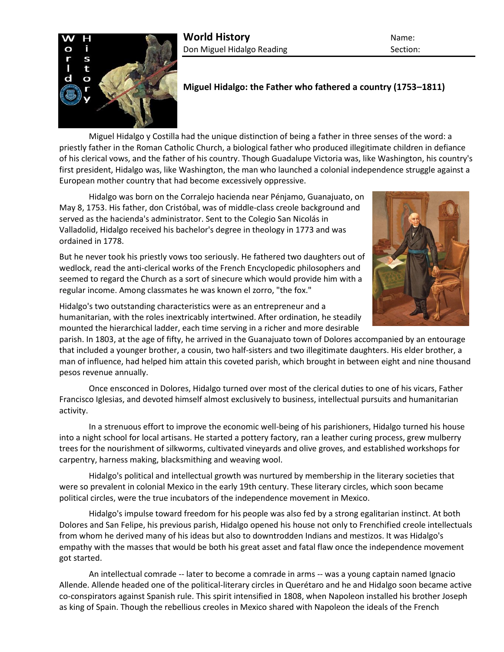

## **Miguel Hidalgo: the Father who fathered a country (1753–1811)**

Miguel Hidalgo y Costilla had the unique distinction of being a father in three senses of the word: a priestly father in the Roman Catholic Church, a biological father who produced illegitimate children in defiance of his clerical vows, and the father of his country. Though Guadalupe Victoria was, like Washington, his country's first president, Hidalgo was, like Washington, the man who launched a colonial independence struggle against a European mother country that had become excessively oppressive.

Hidalgo was born on the Corralejo hacienda near Pénjamo, Guanajuato, on May 8, 1753. His father, don Cristóbal, was of middle-class creole background and served as the hacienda's administrator. Sent to the Colegio San Nicolás in Valladolid, Hidalgo received his bachelor's degree in theology in 1773 and was ordained in 1778.

But he never took his priestly vows too seriously. He fathered two daughters out of wedlock, read the anti-clerical works of the French Encyclopedic philosophers and seemed to regard the Church as a sort of sinecure which would provide him with a regular income. Among classmates he was known el zorro, "the fox."



Hidalgo's two outstanding characteristics were as an entrepreneur and a humanitarian, with the roles inextricably intertwined. After ordination, he steadily mounted the hierarchical ladder, each time serving in a richer and more desirable

parish. In 1803, at the age of fifty, he arrived in the Guanajuato town of Dolores accompanied by an entourage that included a younger brother, a cousin, two half-sisters and two illegitimate daughters. His elder brother, a man of influence, had helped him attain this coveted parish, which brought in between eight and nine thousand pesos revenue annually.

Once ensconced in Dolores, Hidalgo turned over most of the clerical duties to one of his vicars, Father Francisco Iglesias, and devoted himself almost exclusively to business, intellectual pursuits and humanitarian activity.

In a strenuous effort to improve the economic well-being of his parishioners, Hidalgo turned his house into a night school for local artisans. He started a pottery factory, ran a leather curing process, grew mulberry trees for the nourishment of silkworms, cultivated vineyards and olive groves, and established workshops for carpentry, harness making, blacksmithing and weaving wool.

Hidalgo's political and intellectual growth was nurtured by membership in the literary societies that were so prevalent in colonial Mexico in the early 19th century. These literary circles, which soon became political circles, were the true incubators of the independence movement in Mexico.

Hidalgo's impulse toward freedom for his people was also fed by a strong egalitarian instinct. At both Dolores and San Felipe, his previous parish, Hidalgo opened his house not only to Frenchified creole intellectuals from whom he derived many of his ideas but also to downtrodden Indians and mestizos. It was Hidalgo's empathy with the masses that would be both his great asset and fatal flaw once the independence movement got started.

An intellectual comrade -- later to become a comrade in arms -- was a young captain named Ignacio Allende. Allende headed one of the political-literary circles in Querétaro and he and Hidalgo soon became active co-conspirators against Spanish rule. This spirit intensified in 1808, when Napoleon installed his brother Joseph as king of Spain. Though the rebellious creoles in Mexico shared with Napoleon the ideals of the French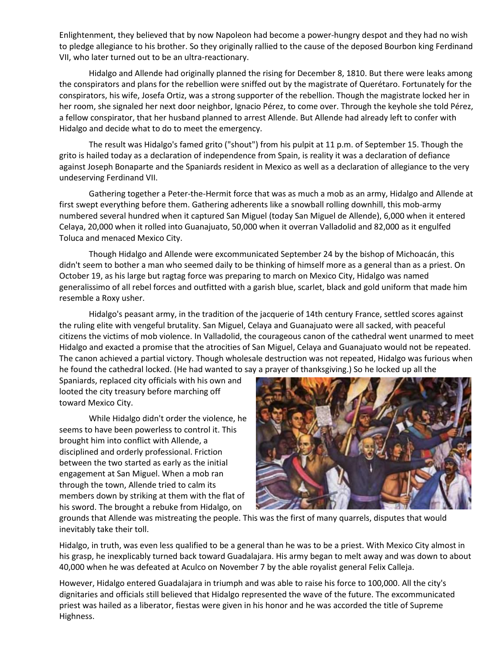Enlightenment, they believed that by now Napoleon had become a power-hungry despot and they had no wish to pledge allegiance to his brother. So they originally rallied to the cause of the deposed Bourbon king Ferdinand VII, who later turned out to be an ultra-reactionary.

Hidalgo and Allende had originally planned the rising for December 8, 1810. But there were leaks among the conspirators and plans for the rebellion were sniffed out by the magistrate of Querétaro. Fortunately for the conspirators, his wife, Josefa Ortiz, was a strong supporter of the rebellion. Though the magistrate locked her in her room, she signaled her next door neighbor, Ignacio Pérez, to come over. Through the keyhole she told Pérez, a fellow conspirator, that her husband planned to arrest Allende. But Allende had already left to confer with Hidalgo and decide what to do to meet the emergency.

The result was Hidalgo's famed grito ("shout") from his pulpit at 11 p.m. of September 15. Though the grito is hailed today as a declaration of independence from Spain, is reality it was a declaration of defiance against Joseph Bonaparte and the Spaniards resident in Mexico as well as a declaration of allegiance to the very undeserving Ferdinand VII.

Gathering together a Peter-the-Hermit force that was as much a mob as an army, Hidalgo and Allende at first swept everything before them. Gathering adherents like a snowball rolling downhill, this mob-army numbered several hundred when it captured San Miguel (today San Miguel de Allende), 6,000 when it entered Celaya, 20,000 when it rolled into Guanajuato, 50,000 when it overran Valladolid and 82,000 as it engulfed Toluca and menaced Mexico City.

Though Hidalgo and Allende were excommunicated September 24 by the bishop of Michoacán, this didn't seem to bother a man who seemed daily to be thinking of himself more as a general than as a priest. On October 19, as his large but ragtag force was preparing to march on Mexico City, Hidalgo was named generalissimo of all rebel forces and outfitted with a garish blue, scarlet, black and gold uniform that made him resemble a Roxy usher.

Hidalgo's peasant army, in the tradition of the jacquerie of 14th century France, settled scores against the ruling elite with vengeful brutality. San Miguel, Celaya and Guanajuato were all sacked, with peaceful citizens the victims of mob violence. In Valladolid, the courageous canon of the cathedral went unarmed to meet Hidalgo and exacted a promise that the atrocities of San Miguel, Celaya and Guanajuato would not be repeated. The canon achieved a partial victory. Though wholesale destruction was not repeated, Hidalgo was furious when he found the cathedral locked. (He had wanted to say a prayer of thanksgiving.) So he locked up all the

Spaniards, replaced city officials with his own and looted the city treasury before marching off toward Mexico City.

While Hidalgo didn't order the violence, he seems to have been powerless to control it. This brought him into conflict with Allende, a disciplined and orderly professional. Friction between the two started as early as the initial engagement at San Miguel. When a mob ran through the town, Allende tried to calm its members down by striking at them with the flat of his sword. The brought a rebuke from Hidalgo, on



grounds that Allende was mistreating the people. This was the first of many quarrels, disputes that would inevitably take their toll.

Hidalgo, in truth, was even less qualified to be a general than he was to be a priest. With Mexico City almost in his grasp, he inexplicably turned back toward Guadalajara. His army began to melt away and was down to about 40,000 when he was defeated at Aculco on November 7 by the able royalist general Felix Calleja.

However, Hidalgo entered Guadalajara in triumph and was able to raise his force to 100,000. All the city's dignitaries and officials still believed that Hidalgo represented the wave of the future. The excommunicated priest was hailed as a liberator, fiestas were given in his honor and he was accorded the title of Supreme Highness.